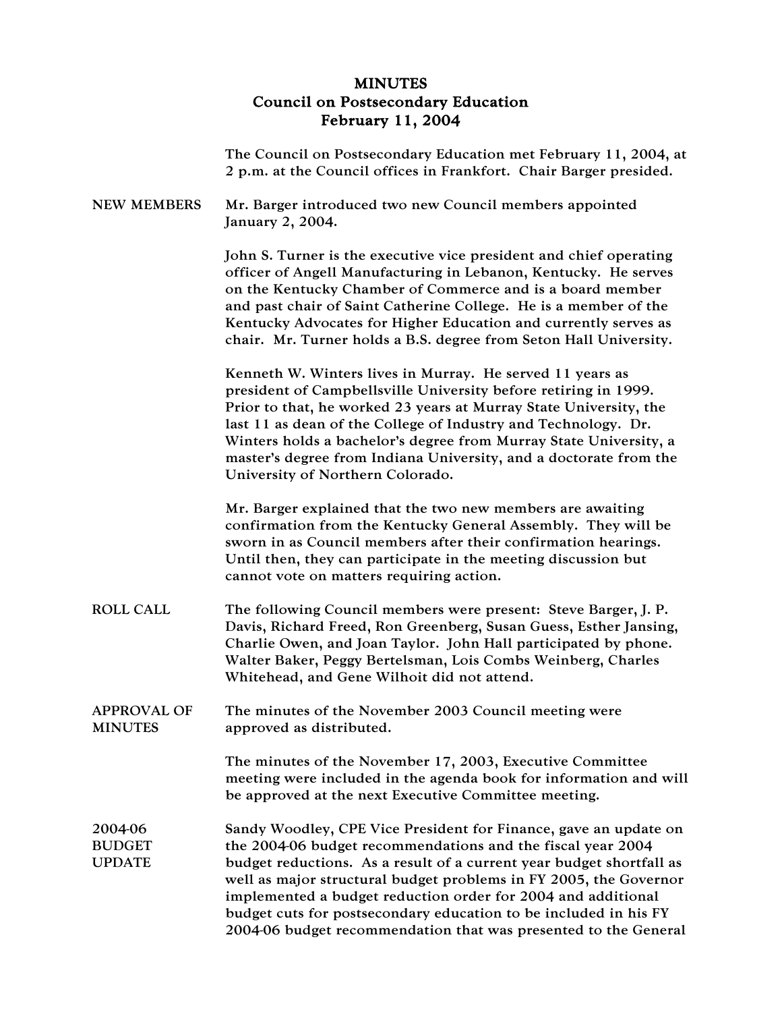## MINUTES Council on Postsecondary Education February 11, 2004

|                                           | The Council on Postsecondary Education met February 11, 2004, at<br>2 p.m. at the Council offices in Frankfort. Chair Barger presided.                                                                                                                                                                                                                                                                                                                                              |
|-------------------------------------------|-------------------------------------------------------------------------------------------------------------------------------------------------------------------------------------------------------------------------------------------------------------------------------------------------------------------------------------------------------------------------------------------------------------------------------------------------------------------------------------|
| <b>NEW MEMBERS</b>                        | Mr. Barger introduced two new Council members appointed<br>January 2, 2004.                                                                                                                                                                                                                                                                                                                                                                                                         |
|                                           | John S. Turner is the executive vice president and chief operating<br>officer of Angell Manufacturing in Lebanon, Kentucky. He serves<br>on the Kentucky Chamber of Commerce and is a board member<br>and past chair of Saint Catherine College. He is a member of the<br>Kentucky Advocates for Higher Education and currently serves as<br>chair. Mr. Turner holds a B.S. degree from Seton Hall University.                                                                      |
|                                           | Kenneth W. Winters lives in Murray. He served 11 years as<br>president of Campbellsville University before retiring in 1999.<br>Prior to that, he worked 23 years at Murray State University, the<br>last 11 as dean of the College of Industry and Technology. Dr.<br>Winters holds a bachelor's degree from Murray State University, a<br>master's degree from Indiana University, and a doctorate from the<br>University of Northern Colorado.                                   |
|                                           | Mr. Barger explained that the two new members are awaiting<br>confirmation from the Kentucky General Assembly. They will be<br>sworn in as Council members after their confirmation hearings.<br>Until then, they can participate in the meeting discussion but<br>cannot vote on matters requiring action.                                                                                                                                                                         |
| <b>ROLL CALL</b>                          | The following Council members were present: Steve Barger, J. P.<br>Davis, Richard Freed, Ron Greenberg, Susan Guess, Esther Jansing,<br>Charlie Owen, and Joan Taylor. John Hall participated by phone.<br>Walter Baker, Peggy Bertelsman, Lois Combs Weinberg, Charles<br>Whitehead, and Gene Wilhoit did not attend.                                                                                                                                                              |
| <b>APPROVAL OF</b><br><b>MINUTES</b>      | The minutes of the November 2003 Council meeting were<br>approved as distributed.                                                                                                                                                                                                                                                                                                                                                                                                   |
|                                           | The minutes of the November 17, 2003, Executive Committee<br>meeting were included in the agenda book for information and will<br>be approved at the next Executive Committee meeting.                                                                                                                                                                                                                                                                                              |
| 2004-06<br><b>BUDGET</b><br><b>UPDATE</b> | Sandy Woodley, CPE Vice President for Finance, gave an update on<br>the 2004-06 budget recommendations and the fiscal year 2004<br>budget reductions. As a result of a current year budget shortfall as<br>well as major structural budget problems in FY 2005, the Governor<br>implemented a budget reduction order for 2004 and additional<br>budget cuts for postsecondary education to be included in his FY<br>2004-06 budget recommendation that was presented to the General |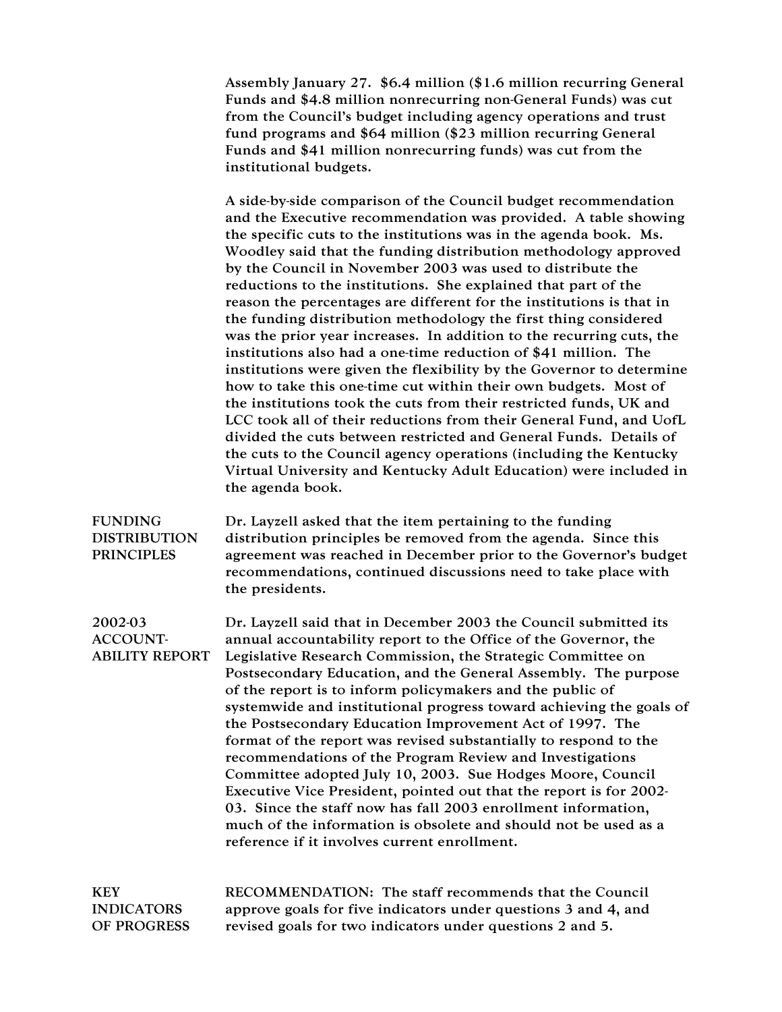Assembly January 27. \$6.4 million (\$1.6 million recurring General Funds and \$4.8 million nonrecurring non-General Funds) was cut from the Council's budget including agency operations and trust fund programs and \$64 million (\$23 million recurring General Funds and \$41 million nonrecurring funds) was cut from the institutional budgets.

A side-by-side comparison of the Council budget recommendation and the Executive recommendation was provided. A table showing the specific cuts to the institutions was in the agenda book. Ms. Woodley said that the funding distribution methodology approved by the Council in November 2003 was used to distribute the reductions to the institutions. She explained that part of the reason the percentages are different for the institutions is that in the funding distribution methodology the first thing considered was the prior year increases. In addition to the recurring cuts, the institutions also had a one-time reduction of \$41 million. The institutions were given the flexibility by the Governor to determine how to take this one-time cut within their own budgets. Most of the institutions took the cuts from their restricted funds, UK and LCC took all of their reductions from their General Fund, and UofL divided the cuts between restricted and General Funds. Details of the cuts to the Council agency operations (including the Kentucky Virtual University and Kentucky Adult Education) were included in the agenda book.

FUNDING DISTRIBUTION PRINCIPLES Dr. Layzell asked that the item pertaining to the funding distribution principles be removed from the agenda. Since this agreement was reached in December prior to the Governor's budget recommendations, continued discussions need to take place with the presidents.

2002-03 ACCOUNT-ABILITY REPORT Dr. Layzell said that in December 2003 the Council submitted its annual accountability report to the Office of the Governor, the Legislative Research Commission, the Strategic Committee on Postsecondary Education, and the General Assembly. The purpose of the report is to inform policymakers and the public of systemwide and institutional progress toward achieving the goals of the Postsecondary Education Improvement Act of 1997. The format of the report was revised substantially to respond to the recommendations of the Program Review and Investigations Committee adopted July 10, 2003. Sue Hodges Moore, Council Executive Vice President, pointed out that the report is for 2002- 03. Since the staff now has fall 2003 enrollment information, much of the information is obsolete and should not be used as a reference if it involves current enrollment.

KEY INDICATORS OF PROGRESS RECOMMENDATION: The staff recommends that the Council approve goals for five indicators under questions 3 and 4, and revised goals for two indicators under questions 2 and 5.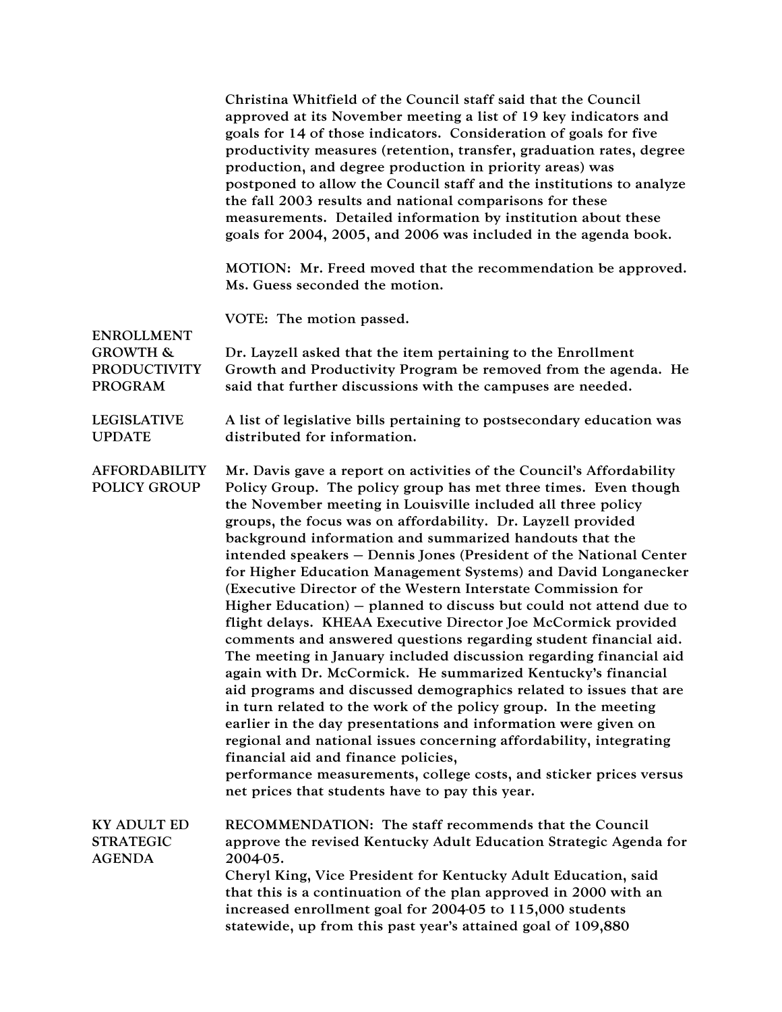|                                                              | Christina Whitfield of the Council staff said that the Council<br>approved at its November meeting a list of 19 key indicators and<br>goals for 14 of those indicators. Consideration of goals for five<br>productivity measures (retention, transfer, graduation rates, degree<br>production, and degree production in priority areas) was<br>postponed to allow the Council staff and the institutions to analyze<br>the fall 2003 results and national comparisons for these<br>measurements. Detailed information by institution about these<br>goals for 2004, 2005, and 2006 was included in the agenda book.                                                                                                                                                                                                                                                                                                                                                                                                                                                                                                                                                                                                                                                                                                                             |
|--------------------------------------------------------------|-------------------------------------------------------------------------------------------------------------------------------------------------------------------------------------------------------------------------------------------------------------------------------------------------------------------------------------------------------------------------------------------------------------------------------------------------------------------------------------------------------------------------------------------------------------------------------------------------------------------------------------------------------------------------------------------------------------------------------------------------------------------------------------------------------------------------------------------------------------------------------------------------------------------------------------------------------------------------------------------------------------------------------------------------------------------------------------------------------------------------------------------------------------------------------------------------------------------------------------------------------------------------------------------------------------------------------------------------|
|                                                              | MOTION: Mr. Freed moved that the recommendation be approved.<br>Ms. Guess seconded the motion.                                                                                                                                                                                                                                                                                                                                                                                                                                                                                                                                                                                                                                                                                                                                                                                                                                                                                                                                                                                                                                                                                                                                                                                                                                                  |
| <b>ENROLLMENT</b>                                            | VOTE: The motion passed.                                                                                                                                                                                                                                                                                                                                                                                                                                                                                                                                                                                                                                                                                                                                                                                                                                                                                                                                                                                                                                                                                                                                                                                                                                                                                                                        |
| <b>GROWTH &amp;</b><br><b>PRODUCTIVITY</b><br><b>PROGRAM</b> | Dr. Layzell asked that the item pertaining to the Enrollment<br>Growth and Productivity Program be removed from the agenda. He<br>said that further discussions with the campuses are needed.                                                                                                                                                                                                                                                                                                                                                                                                                                                                                                                                                                                                                                                                                                                                                                                                                                                                                                                                                                                                                                                                                                                                                   |
| <b>LEGISLATIVE</b><br><b>UPDATE</b>                          | A list of legislative bills pertaining to postsecondary education was<br>distributed for information.                                                                                                                                                                                                                                                                                                                                                                                                                                                                                                                                                                                                                                                                                                                                                                                                                                                                                                                                                                                                                                                                                                                                                                                                                                           |
| <b>AFFORDABILITY</b><br><b>POLICY GROUP</b>                  | Mr. Davis gave a report on activities of the Council's Affordability<br>Policy Group. The policy group has met three times. Even though<br>the November meeting in Louisville included all three policy<br>groups, the focus was on affordability. Dr. Layzell provided<br>background information and summarized handouts that the<br>intended speakers - Dennis Jones (President of the National Center<br>for Higher Education Management Systems) and David Longanecker<br>(Executive Director of the Western Interstate Commission for<br>Higher Education) $-$ planned to discuss but could not attend due to<br>flight delays. KHEAA Executive Director Joe McCormick provided<br>comments and answered questions regarding student financial aid.<br>The meeting in January included discussion regarding financial aid<br>again with Dr. McCormick. He summarized Kentucky's financial<br>aid programs and discussed demographics related to issues that are<br>in turn related to the work of the policy group. In the meeting<br>earlier in the day presentations and information were given on<br>regional and national issues concerning affordability, integrating<br>financial aid and finance policies,<br>performance measurements, college costs, and sticker prices versus<br>net prices that students have to pay this year. |
| <b>KY ADULT ED</b><br><b>STRATEGIC</b><br><b>AGENDA</b>      | RECOMMENDATION: The staff recommends that the Council<br>approve the revised Kentucky Adult Education Strategic Agenda for<br>2004-05.<br>Cheryl King, Vice President for Kentucky Adult Education, said<br>that this is a continuation of the plan approved in 2000 with an<br>increased enrollment goal for 2004-05 to 115,000 students<br>statewide, up from this past year's attained goal of 109,880                                                                                                                                                                                                                                                                                                                                                                                                                                                                                                                                                                                                                                                                                                                                                                                                                                                                                                                                       |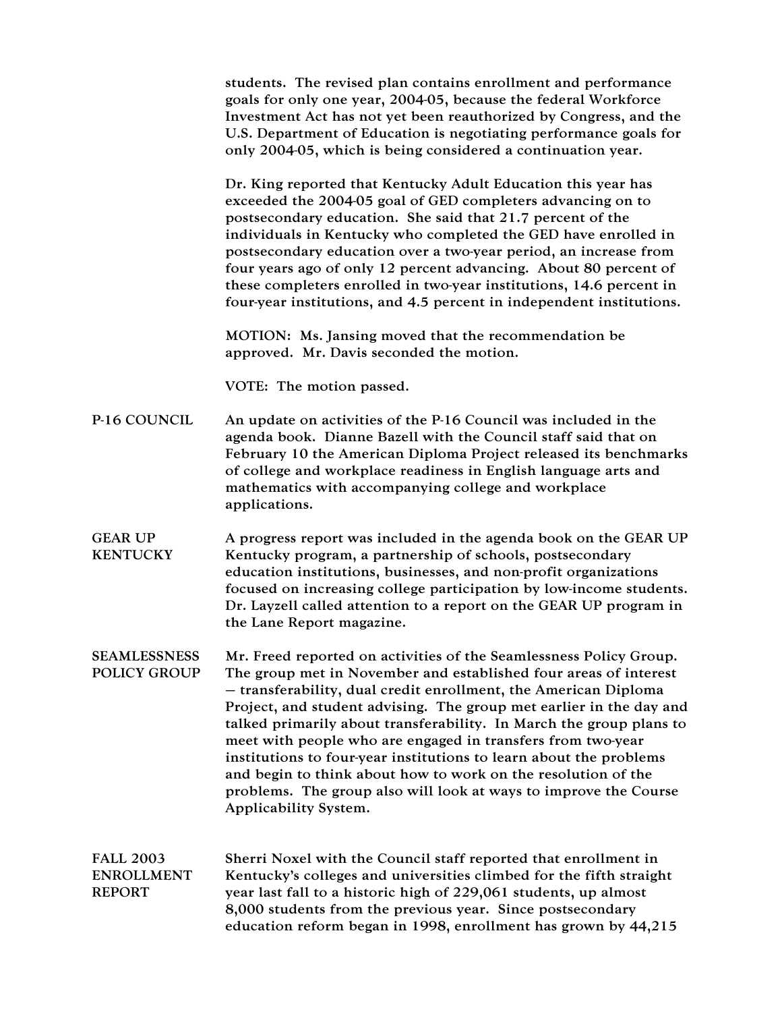students. The revised plan contains enrollment and performance goals for only one year, 2004-05, because the federal Workforce Investment Act has not yet been reauthorized by Congress, and the U.S. Department of Education is negotiating performance goals for only 2004-05, which is being considered a continuation year. Dr. King reported that Kentucky Adult Education this year has exceeded the 2004-05 goal of GED completers advancing on to postsecondary education. She said that 21.7 percent of the individuals in Kentucky who completed the GED have enrolled in postsecondary education over a two-year period, an increase from four years ago of only 12 percent advancing. About 80 percent of these completers enrolled in two-year institutions, 14.6 percent in four-year institutions, and 4.5 percent in independent institutions. MOTION: Ms. Jansing moved that the recommendation be approved. Mr. Davis seconded the motion. VOTE: The motion passed. P-16 COUNCIL An update on activities of the P-16 Council was included in the agenda book. Dianne Bazell with the Council staff said that on February 10 the American Diploma Project released its benchmarks of college and workplace readiness in English language arts and mathematics with accompanying college and workplace applications. GEAR UP **KENTUCKY** A progress report was included in the agenda book on the GEAR UP Kentucky program, a partnership of schools, postsecondary education institutions, businesses, and non-profit organizations focused on increasing college participation by low-income students. Dr. Layzell called attention to a report on the GEAR UP program in the Lane Report magazine. **SEAMLESSNESS** POLICY GROUP Mr. Freed reported on activities of the Seamlessness Policy Group. The group met in November and established four areas of interest – transferability, dual credit enrollment, the American Diploma Project, and student advising. The group met earlier in the day and talked primarily about transferability. In March the group plans to meet with people who are engaged in transfers from two-year institutions to four-year institutions to learn about the problems and begin to think about how to work on the resolution of the problems. The group also will look at ways to improve the Course Applicability System. FALL 2003 ENROLLMENT REPORT Sherri Noxel with the Council staff reported that enrollment in Kentucky's colleges and universities climbed for the fifth straight year last fall to a historic high of 229,061 students, up almost 8,000 students from the previous year. Since postsecondary education reform began in 1998, enrollment has grown by 44,215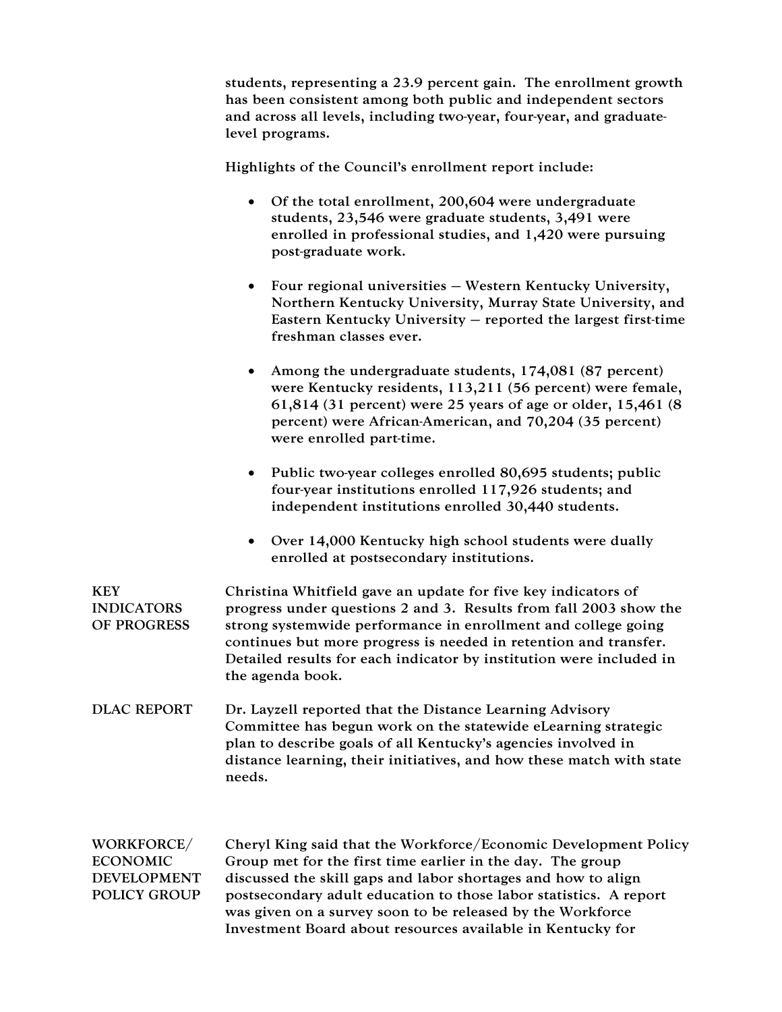students, representing a 23.9 percent gain. The enrollment growth has been consistent among both public and independent sectors and across all levels, including two-year, four-year, and graduatelevel programs.

Highlights of the Council's enrollment report include:

- Of the total enrollment, 200,604 were undergraduate students, 23,546 were graduate students, 3,491 were enrolled in professional studies, and 1,420 were pursuing post-graduate work.
- Four regional universities Western Kentucky University, Northern Kentucky University, Murray State University, and Eastern Kentucky University – reported the largest first-time freshman classes ever.
- Among the undergraduate students, 174,081 (87 percent) were Kentucky residents, 113,211 (56 percent) were female, 61,814 (31 percent) were 25 years of age or older, 15,461 (8 percent) were African-American, and 70,204 (35 percent) were enrolled part-time.
- Public two-year colleges enrolled 80,695 students; public four-year institutions enrolled 117,926 students; and independent institutions enrolled 30,440 students.
- Over 14,000 Kentucky high school students were dually enrolled at postsecondary institutions.

| <b>KEY</b><br><b>INDICATORS</b><br>OF PROGRESS                             | Christina Whitfield gave an update for five key indicators of<br>progress under questions 2 and 3. Results from fall 2003 show the<br>strong systemwide performance in enrollment and college going<br>continues but more progress is needed in retention and transfer.<br>Detailed results for each indicator by institution were included in<br>the agenda book.                              |
|----------------------------------------------------------------------------|-------------------------------------------------------------------------------------------------------------------------------------------------------------------------------------------------------------------------------------------------------------------------------------------------------------------------------------------------------------------------------------------------|
| <b>DLAC REPORT</b>                                                         | Dr. Layzell reported that the Distance Learning Advisory<br>Committee has begun work on the statewide eLearning strategic<br>plan to describe goals of all Kentucky's agencies involved in<br>distance learning, their initiatives, and how these match with state<br>needs.                                                                                                                    |
| WORKFORCE/<br><b>ECONOMIC</b><br><b>DEVELOPMENT</b><br><b>POLICY GROUP</b> | Cheryl King said that the Workforce/Economic Development Policy<br>Group met for the first time earlier in the day. The group<br>discussed the skill gaps and labor shortages and how to align<br>postsecondary adult education to those labor statistics. A report<br>was given on a survey soon to be released by the Workforce<br>Investment Board about resources available in Kentucky for |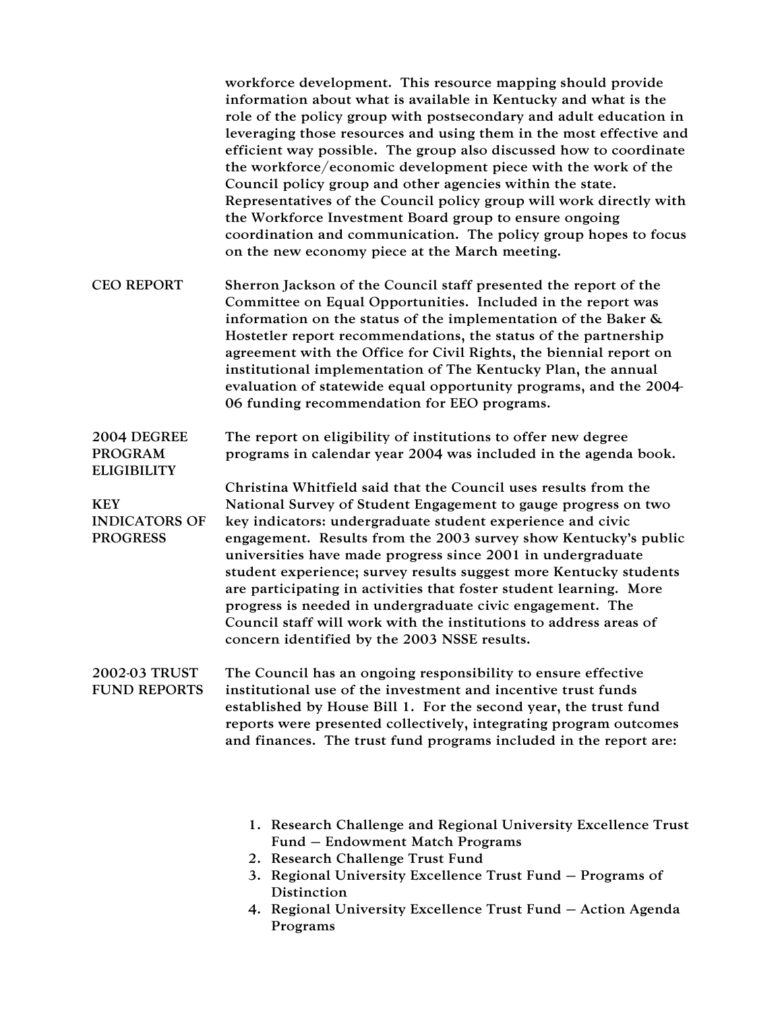|                                                       | workforce development. This resource mapping should provide<br>information about what is available in Kentucky and what is the<br>role of the policy group with postsecondary and adult education in<br>leveraging those resources and using them in the most effective and<br>efficient way possible. The group also discussed how to coordinate<br>the workforce/economic development piece with the work of the<br>Council policy group and other agencies within the state.<br>Representatives of the Council policy group will work directly with<br>the Workforce Investment Board group to ensure ongoing<br>coordination and communication. The policy group hopes to focus<br>on the new economy piece at the March meeting. |
|-------------------------------------------------------|---------------------------------------------------------------------------------------------------------------------------------------------------------------------------------------------------------------------------------------------------------------------------------------------------------------------------------------------------------------------------------------------------------------------------------------------------------------------------------------------------------------------------------------------------------------------------------------------------------------------------------------------------------------------------------------------------------------------------------------|
| <b>CEO REPORT</b>                                     | Sherron Jackson of the Council staff presented the report of the<br>Committee on Equal Opportunities. Included in the report was<br>information on the status of the implementation of the Baker &<br>Hostetler report recommendations, the status of the partnership<br>agreement with the Office for Civil Rights, the biennial report on<br>institutional implementation of The Kentucky Plan, the annual<br>evaluation of statewide equal opportunity programs, and the 2004-<br>06 funding recommendation for EEO programs.                                                                                                                                                                                                      |
| 2004 DEGREE<br><b>PROGRAM</b><br><b>ELIGIBILITY</b>   | The report on eligibility of institutions to offer new degree<br>programs in calendar year 2004 was included in the agenda book.                                                                                                                                                                                                                                                                                                                                                                                                                                                                                                                                                                                                      |
| <b>KEY</b><br><b>INDICATORS OF</b><br><b>PROGRESS</b> | Christina Whitfield said that the Council uses results from the<br>National Survey of Student Engagement to gauge progress on two<br>key indicators: undergraduate student experience and civic<br>engagement. Results from the 2003 survey show Kentucky's public<br>universities have made progress since 2001 in undergraduate<br>student experience; survey results suggest more Kentucky students<br>are participating in activities that foster student learning. More<br>progress is needed in undergraduate civic engagement. The<br>Council staff will work with the institutions to address areas of<br>concern identified by the 2003 NSSE results.                                                                        |
| 2002-03 TRUST<br><b>FUND REPORTS</b>                  | The Council has an ongoing responsibility to ensure effective<br>institutional use of the investment and incentive trust funds<br>established by House Bill 1. For the second year, the trust fund<br>reports were presented collectively, integrating program outcomes<br>and finances. The trust fund programs included in the report are:                                                                                                                                                                                                                                                                                                                                                                                          |

- 1. Research Challenge and Regional University Excellence Trust Fund – Endowment Match Programs
- 2. Research Challenge Trust Fund
- 3. Regional University Excellence Trust Fund Programs of Distinction
- 4. Regional University Excellence Trust Fund Action Agenda Programs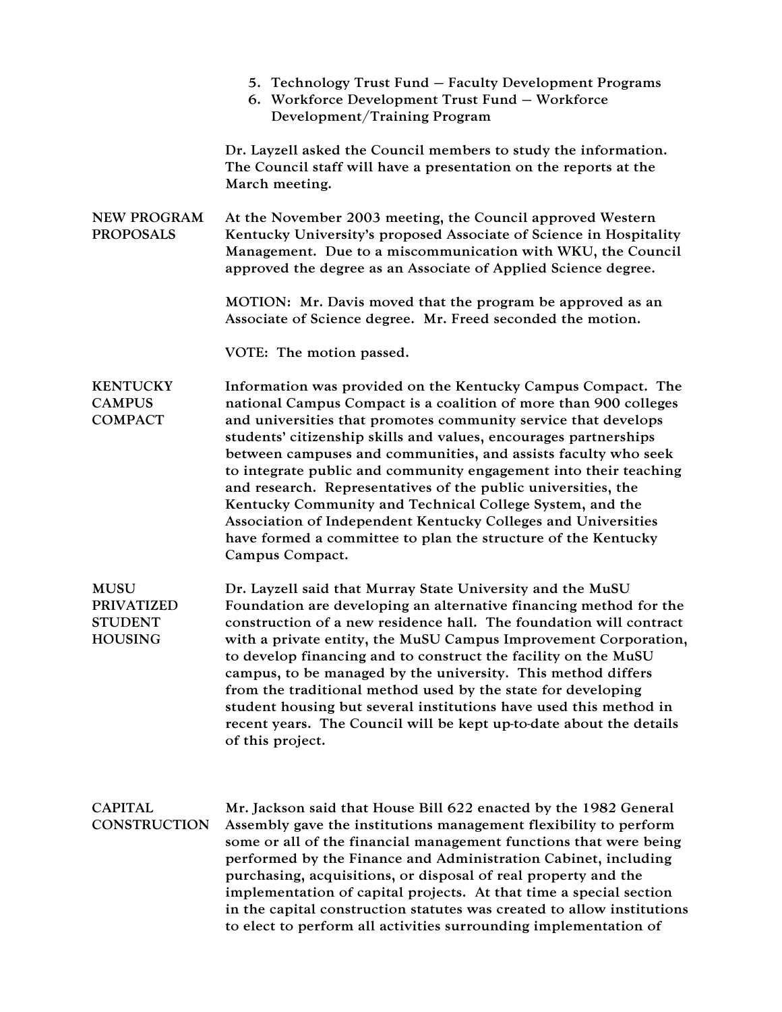|                                                               | 5. Technology Trust Fund – Faculty Development Programs<br>6. Workforce Development Trust Fund - Workforce<br>Development/Training Program                                                                                                                                                                                                                                                                                                                                                                                                                                                                                                                                                     |
|---------------------------------------------------------------|------------------------------------------------------------------------------------------------------------------------------------------------------------------------------------------------------------------------------------------------------------------------------------------------------------------------------------------------------------------------------------------------------------------------------------------------------------------------------------------------------------------------------------------------------------------------------------------------------------------------------------------------------------------------------------------------|
|                                                               | Dr. Layzell asked the Council members to study the information.<br>The Council staff will have a presentation on the reports at the<br>March meeting.                                                                                                                                                                                                                                                                                                                                                                                                                                                                                                                                          |
| <b>NEW PROGRAM</b><br><b>PROPOSALS</b>                        | At the November 2003 meeting, the Council approved Western<br>Kentucky University's proposed Associate of Science in Hospitality<br>Management. Due to a miscommunication with WKU, the Council<br>approved the degree as an Associate of Applied Science degree.                                                                                                                                                                                                                                                                                                                                                                                                                              |
|                                                               | MOTION: Mr. Davis moved that the program be approved as an<br>Associate of Science degree. Mr. Freed seconded the motion.                                                                                                                                                                                                                                                                                                                                                                                                                                                                                                                                                                      |
|                                                               | VOTE: The motion passed.                                                                                                                                                                                                                                                                                                                                                                                                                                                                                                                                                                                                                                                                       |
| <b>KENTUCKY</b><br><b>CAMPUS</b><br><b>COMPACT</b>            | Information was provided on the Kentucky Campus Compact. The<br>national Campus Compact is a coalition of more than 900 colleges<br>and universities that promotes community service that develops<br>students' citizenship skills and values, encourages partnerships<br>between campuses and communities, and assists faculty who seek<br>to integrate public and community engagement into their teaching<br>and research. Representatives of the public universities, the<br>Kentucky Community and Technical College System, and the<br>Association of Independent Kentucky Colleges and Universities<br>have formed a committee to plan the structure of the Kentucky<br>Campus Compact. |
| <b>MUSU</b><br><b>PRIVATIZED</b><br><b>STUDENT</b><br>HOUSING | Dr. Layzell said that Murray State University and the MuSU<br>Foundation are developing an alternative financing method for the<br>construction of a new residence hall. The foundation will contract<br>with a private entity, the MuSU Campus Improvement Corporation,<br>to develop financing and to construct the facility on the MuSU<br>campus, to be managed by the university. This method differs<br>from the traditional method used by the state for developing<br>student housing but several institutions have used this method in<br>recent years. The Council will be kept up-to-date about the details<br>of this project.                                                     |
| <b>CAPITAL</b><br>CONSTRUCTION                                | Mr. Jackson said that House Bill 622 enacted by the 1982 General<br>Assembly gave the institutions management flexibility to perform<br>some or all of the financial management functions that were being<br>performed by the Finance and Administration Cabinet, including<br>purchasing, acquisitions, or disposal of real property and the<br>implementation of capital projects. At that time a special section<br>in the capital construction statutes was created to allow institutions<br>to elect to perform all activities surrounding implementation of                                                                                                                              |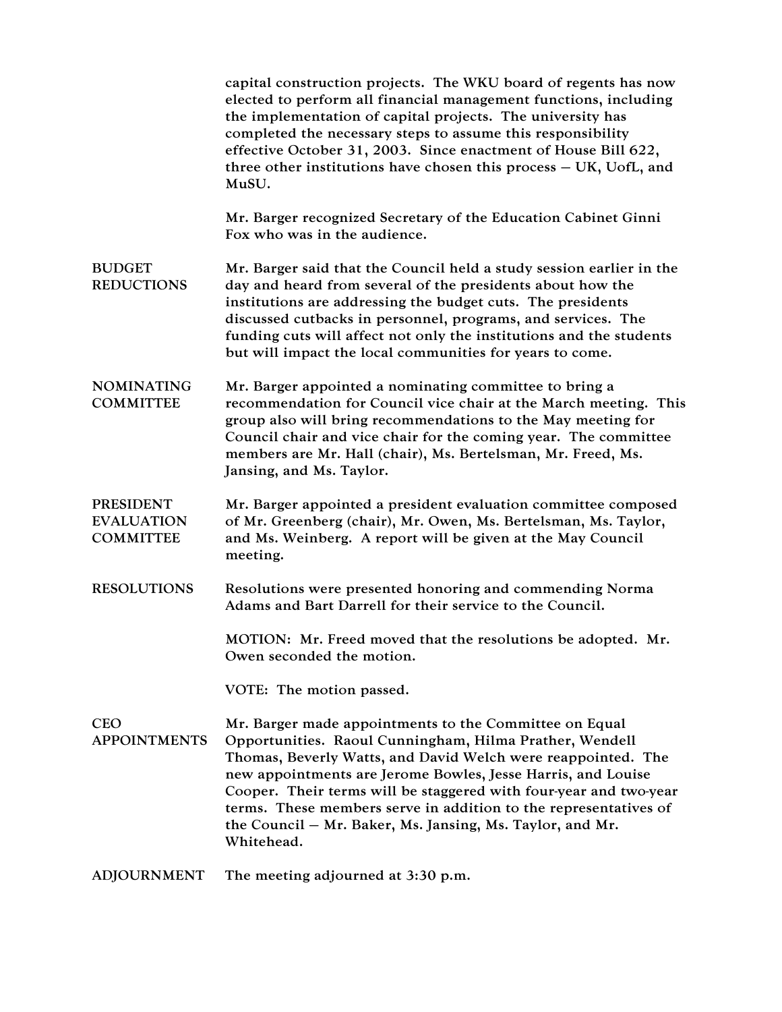|                                                           | capital construction projects. The WKU board of regents has now<br>elected to perform all financial management functions, including<br>the implementation of capital projects. The university has<br>completed the necessary steps to assume this responsibility<br>effective October 31, 2003. Since enactment of House Bill 622,<br>three other institutions have chosen this process - UK, UofL, and<br>MuSU.                                                      |
|-----------------------------------------------------------|-----------------------------------------------------------------------------------------------------------------------------------------------------------------------------------------------------------------------------------------------------------------------------------------------------------------------------------------------------------------------------------------------------------------------------------------------------------------------|
|                                                           | Mr. Barger recognized Secretary of the Education Cabinet Ginni<br>Fox who was in the audience.                                                                                                                                                                                                                                                                                                                                                                        |
| <b>BUDGET</b><br><b>REDUCTIONS</b>                        | Mr. Barger said that the Council held a study session earlier in the<br>day and heard from several of the presidents about how the<br>institutions are addressing the budget cuts. The presidents<br>discussed cutbacks in personnel, programs, and services. The<br>funding cuts will affect not only the institutions and the students<br>but will impact the local communities for years to come.                                                                  |
| <b>NOMINATING</b><br><b>COMMITTEE</b>                     | Mr. Barger appointed a nominating committee to bring a<br>recommendation for Council vice chair at the March meeting. This<br>group also will bring recommendations to the May meeting for<br>Council chair and vice chair for the coming year. The committee<br>members are Mr. Hall (chair), Ms. Bertelsman, Mr. Freed, Ms.<br>Jansing, and Ms. Taylor.                                                                                                             |
| <b>PRESIDENT</b><br><b>EVALUATION</b><br><b>COMMITTEE</b> | Mr. Barger appointed a president evaluation committee composed<br>of Mr. Greenberg (chair), Mr. Owen, Ms. Bertelsman, Ms. Taylor,<br>and Ms. Weinberg. A report will be given at the May Council<br>meeting.                                                                                                                                                                                                                                                          |
| <b>RESOLUTIONS</b>                                        | Resolutions were presented honoring and commending Norma<br>Adams and Bart Darrell for their service to the Council.                                                                                                                                                                                                                                                                                                                                                  |
|                                                           | MOTION: Mr. Freed moved that the resolutions be adopted. Mr.<br>Owen seconded the motion.                                                                                                                                                                                                                                                                                                                                                                             |
|                                                           | VOTE: The motion passed.                                                                                                                                                                                                                                                                                                                                                                                                                                              |
| <b>CEO</b><br><b>APPOINTMENTS</b>                         | Mr. Barger made appointments to the Committee on Equal<br>Opportunities. Raoul Cunningham, Hilma Prather, Wendell<br>Thomas, Beverly Watts, and David Welch were reappointed. The<br>new appointments are Jerome Bowles, Jesse Harris, and Louise<br>Cooper. Their terms will be staggered with four-year and two-year<br>terms. These members serve in addition to the representatives of<br>the Council – Mr. Baker, Ms. Jansing, Ms. Taylor, and Mr.<br>Whitehead. |
| <b>ADJOURNMENT</b>                                        | The meeting adjourned at 3:30 p.m.                                                                                                                                                                                                                                                                                                                                                                                                                                    |